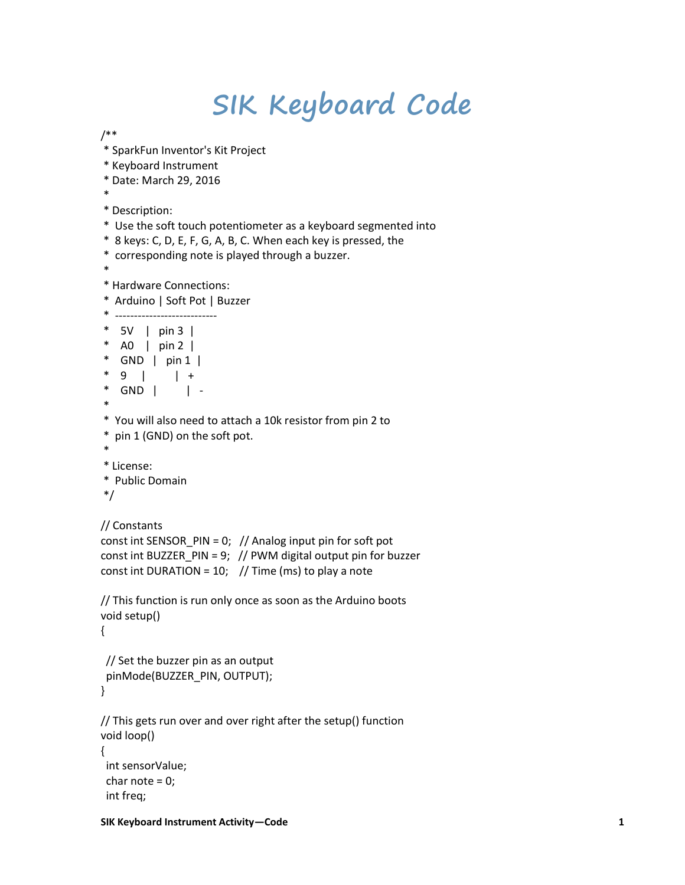## **SIK Keyboard Code**

/\*\*

- \* SparkFun Inventor's Kit Project
- \* Keyboard Instrument
- \* Date: March 29, 2016
- \*
- \* Description:
- \* Use the soft touch potentiometer as a keyboard segmented into
- \* 8 keys: C, D, E, F, G, A, B, C. When each key is pressed, the
- \* corresponding note is played through a buzzer.
- \*
- \* Hardware Connections:
- \* Arduino | Soft Pot | Buzzer

```
* ---------------------------
* 5V | pin 3 | 
* A0 | pin 2 | 
* GND | pin 1 | 
* 9 | | +
* GND | | -
* 
* You will also need to attach a 10k resistor from pin 2 to
* pin 1 (GND) on the soft pot.
* 
* License:
* Public Domain
*/
```

```
// Constants
```

```
const int SENSOR_PIN = 0; // Analog input pin for soft pot
const int BUZZER_PIN = 9; // PWM digital output pin for buzzer
const int DURATION = 10; // Time (ms) to play a note
```

```
// This function is run only once as soon as the Arduino boots
void setup()
```

```
{
```
int freq;

```
 // Set the buzzer pin as an output
 pinMode(BUZZER_PIN, OUTPUT);
}
```

```
// This gets run over and over right after the setup() function
void loop() 
{
 int sensorValue;
 char note = 0;
```

```
SIK Keyboard Instrument Activity—Code 1
```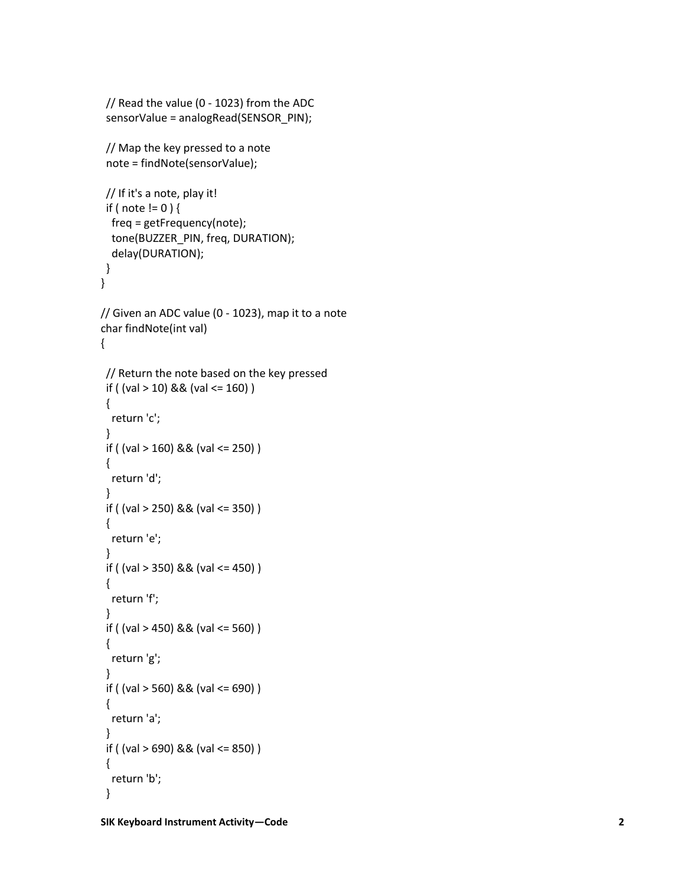```
 // Read the value (0 
- 1023) from the ADC
  sensorValue = analogRead(SENSOR_PIN);
  // Map the key pressed to a note
  note = findNote(sensorValue);
  // If it's a note, play it!
 if ( note != 0 ) {
   freq = getFrequency(note);
   tone(BUZZER_PIN, freq, DURATION);
   delay(DURATION);

}
}
// Given an ADC value (0 
- 1023), map it to a note
char findNote(int val) {
 // Return the note based on the key pressed
 if ( (val > 10) && (val <= 160) )
{
   return 'c';
 }
 if ( (val > 160) && (val <= 250) )
 {
  return 'd';
 }
  if ( (val > 250) && (val <= 350) )
 {
   return 'e';
 }
 if ( (val > 350) && (val <= 450) )
 {
  return 'f';
 }
  if ( (val > 450) && (val <= 560) )
 {
   return 'g';
 }
  if ( (val > 560) && (val <= 690) )
 \{ return 'a';
 }
  if ( (val > 690) && (val <= 850) )
 {
   return 'b';
}
```